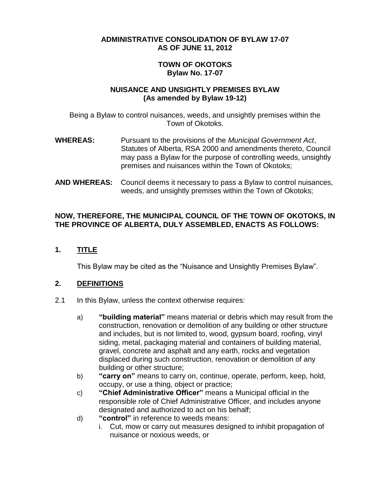#### **ADMINISTRATIVE CONSOLIDATION OF BYLAW 17-07 AS OF JUNE 11, 2012**

#### **TOWN OF OKOTOKS Bylaw No. 17-07**

#### **NUISANCE AND UNSIGHTLY PREMISES BYLAW (As amended by Bylaw 19-12)**

Being a Bylaw to control nuisances, weeds, and unsightly premises within the Town of Okotoks.

- **WHEREAS:** Pursuant to the provisions of the *Municipal Government Act*, Statutes of Alberta, RSA 2000 and amendments thereto, Council may pass a Bylaw for the purpose of controlling weeds, unsightly premises and nuisances within the Town of Okotoks;
- **AND WHEREAS:** Council deems it necessary to pass a Bylaw to control nuisances, weeds, and unsightly premises within the Town of Okotoks;

#### **NOW, THEREFORE, THE MUNICIPAL COUNCIL OF THE TOWN OF OKOTOKS, IN THE PROVINCE OF ALBERTA, DULY ASSEMBLED, ENACTS AS FOLLOWS:**

**1. TITLE**

This Bylaw may be cited as the "Nuisance and Unsightly Premises Bylaw".

# **2. DEFINITIONS**

- 2.1 In this Bylaw, unless the context otherwise requires:
	- a) **"building material"** means material or debris which may result from the construction, renovation or demolition of any building or other structure and includes, but is not limited to, wood, gypsum board, roofing, vinyl siding, metal, packaging material and containers of building material, gravel, concrete and asphalt and any earth, rocks and vegetation displaced during such construction, renovation or demolition of any building or other structure;
	- b) **"carry on"** means to carry on, continue, operate, perform, keep, hold, occupy, or use a thing, object or practice;
	- c) **"Chief Administrative Officer"** means a Municipal official in the responsible role of Chief Administrative Officer, and includes anyone designated and authorized to act on his behalf;
	- d) **"control"** in reference to weeds means:
		- i. Cut, mow or carry out measures designed to inhibit propagation of nuisance or noxious weeds, or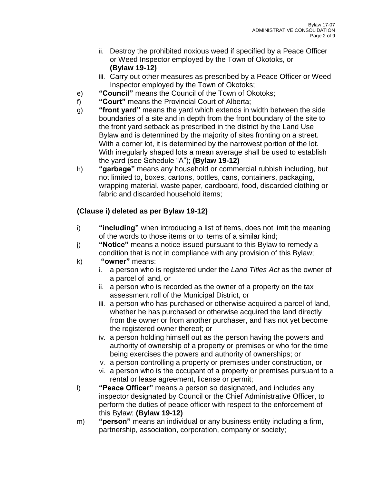- ii. Destroy the prohibited noxious weed if specified by a Peace Officer or Weed Inspector employed by the Town of Okotoks, or **(Bylaw 19-12)**
- iii. Carry out other measures as prescribed by a Peace Officer or Weed Inspector employed by the Town of Okotoks;
- e) **"Council"** means the Council of the Town of Okotoks;
- f) **"Court"** means the Provincial Court of Alberta;
- g) **"front yard"** means the yard which extends in width between the side boundaries of a site and in depth from the front boundary of the site to the front yard setback as prescribed in the district by the Land Use Bylaw and is determined by the majority of sites fronting on a street. With a corner lot, it is determined by the narrowest portion of the lot. With irregularly shaped lots a mean average shall be used to establish the yard (see Schedule "A"); **(Bylaw 19-12)**
- h) **"garbage"** means any household or commercial rubbish including, but not limited to, boxes, cartons, bottles, cans, containers, packaging, wrapping material, waste paper, cardboard, food, discarded clothing or fabric and discarded household items;

# **(Clause i) deleted as per Bylaw 19-12)**

- i) **"including"** when introducing a list of items, does not limit the meaning of the words to those items or to items of a similar kind;
- j) **"Notice"** means a notice issued pursuant to this Bylaw to remedy a condition that is not in compliance with any provision of this Bylaw;
- k) **"owner"** means:
	- i. a person who is registered under the *Land Titles Act* as the owner of a parcel of land, or
	- ii. a person who is recorded as the owner of a property on the tax assessment roll of the Municipal District, or
	- iii. a person who has purchased or otherwise acquired a parcel of land, whether he has purchased or otherwise acquired the land directly from the owner or from another purchaser, and has not yet become the registered owner thereof; or
	- iv. a person holding himself out as the person having the powers and authority of ownership of a property or premises or who for the time being exercises the powers and authority of ownerships; or
	- v. a person controlling a property or premises under construction, or
	- vi. a person who is the occupant of a property or premises pursuant to a rental or lease agreement, license or permit;
- l) **"Peace Officer"** means a person so designated, and includes any inspector designated by Council or the Chief Administrative Officer, to perform the duties of peace officer with respect to the enforcement of this Bylaw; **(Bylaw 19-12)**
- m) **"person"** means an individual or any business entity including a firm, partnership, association, corporation, company or society;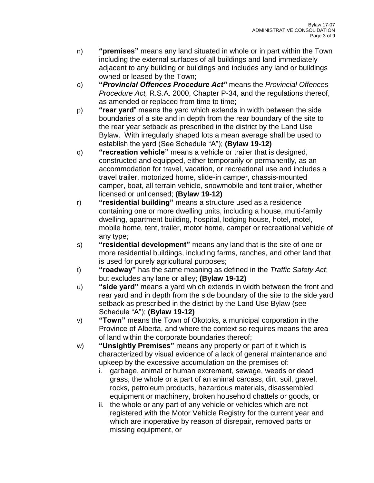- n) **"premises"** means any land situated in whole or in part within the Town including the external surfaces of all buildings and land immediately adjacent to any building or buildings and includes any land or buildings owned or leased by the Town;
- o) **"***Provincial Offences Procedure Act"* means the *Provincial Offences Procedure Act,* R.S.A. 2000, Chapter P-34, and the regulations thereof, as amended or replaced from time to time;
- p) **"rear yard**" means the yard which extends in width between the side boundaries of a site and in depth from the rear boundary of the site to the rear year setback as prescribed in the district by the Land Use Bylaw. With irregularly shaped lots a mean average shall be used to establish the yard (See Schedule "A"); **(Bylaw 19-12)**
- q) **"recreation vehicle"** means a vehicle or trailer that is designed, constructed and equipped, either temporarily or permanently, as an accommodation for travel, vacation, or recreational use and includes a travel trailer, motorized home, slide-in camper, chassis-mounted camper, boat, all terrain vehicle, snowmobile and tent trailer, whether licensed or unlicensed; **(Bylaw 19-12)**
- r) **"residential building"** means a structure used as a residence containing one or more dwelling units, including a house, multi-family dwelling, apartment building, hospital, lodging house, hotel, motel, mobile home, tent, trailer, motor home, camper or recreational vehicle of any type;
- s) **"residential development"** means any land that is the site of one or more residential buildings, including farms, ranches, and other land that is used for purely agricultural purposes;
- t) **"roadway"** has the same meaning as defined in the *Traffic Safety Act*; but excludes any lane or alley; **(Bylaw 19-12)**
- u) **"side yard"** means a yard which extends in width between the front and rear yard and in depth from the side boundary of the site to the side yard setback as prescribed in the district by the Land Use Bylaw (see Schedule "A"); **(Bylaw 19-12)**
- v) **"Town"** means the Town of Okotoks, a municipal corporation in the Province of Alberta, and where the context so requires means the area of land within the corporate boundaries thereof;
- w) **"Unsightly Premises"** means any property or part of it which is characterized by visual evidence of a lack of general maintenance and upkeep by the excessive accumulation on the premises of:
	- i. garbage, animal or human excrement, sewage, weeds or dead grass, the whole or a part of an animal carcass, dirt, soil, gravel, rocks, petroleum products, hazardous materials, disassembled equipment or machinery, broken household chattels or goods, or
	- ii. the whole or any part of any vehicle or vehicles which are not registered with the Motor Vehicle Registry for the current year and which are inoperative by reason of disrepair, removed parts or missing equipment, or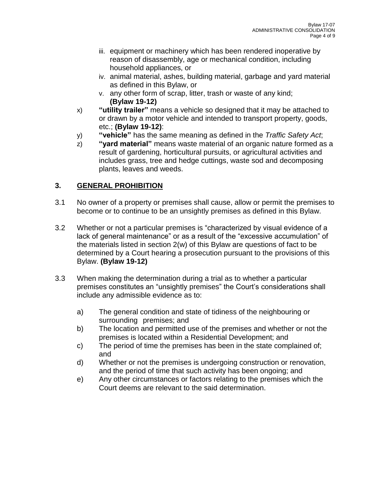- iii. equipment or machinery which has been rendered inoperative by reason of disassembly, age or mechanical condition, including household appliances, or
- iv. animal material, ashes, building material, garbage and yard material as defined in this Bylaw, or
- v. any other form of scrap, litter, trash or waste of any kind; **(Bylaw 19-12)**
- x) **"utility trailer"** means a vehicle so designed that it may be attached to or drawn by a motor vehicle and intended to transport property, goods, etc.; **(Bylaw 19-12)**:
- y) **"vehicle"** has the same meaning as defined in the *Traffic Safety Act*;
- z) **"yard material"** means waste material of an organic nature formed as a result of gardening, horticultural pursuits, or agricultural activities and includes grass, tree and hedge cuttings, waste sod and decomposing plants, leaves and weeds.

# **3. GENERAL PROHIBITION**

- 3.1 No owner of a property or premises shall cause, allow or permit the premises to become or to continue to be an unsightly premises as defined in this Bylaw.
- 3.2 Whether or not a particular premises is "characterized by visual evidence of a lack of general maintenance" or as a result of the "excessive accumulation" of the materials listed in section 2(w) of this Bylaw are questions of fact to be determined by a Court hearing a prosecution pursuant to the provisions of this Bylaw. **(Bylaw 19-12)**
- 3.3 When making the determination during a trial as to whether a particular premises constitutes an "unsightly premises" the Court's considerations shall include any admissible evidence as to:
	- a) The general condition and state of tidiness of the neighbouring or surrounding premises; and
	- b) The location and permitted use of the premises and whether or not the premises is located within a Residential Development; and
	- c) The period of time the premises has been in the state complained of; and
	- d) Whether or not the premises is undergoing construction or renovation, and the period of time that such activity has been ongoing; and
	- e) Any other circumstances or factors relating to the premises which the Court deems are relevant to the said determination.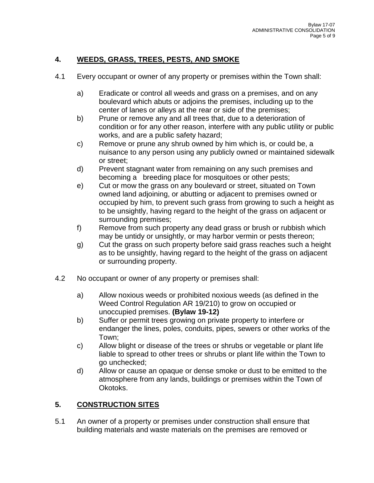# **4. WEEDS, GRASS, TREES, PESTS, AND SMOKE**

- 4.1 Every occupant or owner of any property or premises within the Town shall:
	- a) Eradicate or control all weeds and grass on a premises, and on any boulevard which abuts or adjoins the premises, including up to the center of lanes or alleys at the rear or side of the premises;
	- b) Prune or remove any and all trees that, due to a deterioration of condition or for any other reason, interfere with any public utility or public works, and are a public safety hazard;
	- c) Remove or prune any shrub owned by him which is, or could be, a nuisance to any person using any publicly owned or maintained sidewalk or street;
	- d) Prevent stagnant water from remaining on any such premises and becoming a breeding place for mosquitoes or other pests;
	- e) Cut or mow the grass on any boulevard or street, situated on Town owned land adjoining, or abutting or adjacent to premises owned or occupied by him, to prevent such grass from growing to such a height as to be unsightly, having regard to the height of the grass on adjacent or surrounding premises;
	- f) Remove from such property any dead grass or brush or rubbish which may be untidy or unsightly, or may harbor vermin or pests thereon;
	- g) Cut the grass on such property before said grass reaches such a height as to be unsightly, having regard to the height of the grass on adjacent or surrounding property.
- 4.2 No occupant or owner of any property or premises shall:
	- a) Allow noxious weeds or prohibited noxious weeds (as defined in the Weed Control Regulation AR 19/210) to grow on occupied or unoccupied premises. **(Bylaw 19-12)**
	- b) Suffer or permit trees growing on private property to interfere or endanger the lines, poles, conduits, pipes, sewers or other works of the Town;
	- c) Allow blight or disease of the trees or shrubs or vegetable or plant life liable to spread to other trees or shrubs or plant life within the Town to go unchecked;
	- d) Allow or cause an opaque or dense smoke or dust to be emitted to the atmosphere from any lands, buildings or premises within the Town of Okotoks.

# **5. CONSTRUCTION SITES**

5.1 An owner of a property or premises under construction shall ensure that building materials and waste materials on the premises are removed or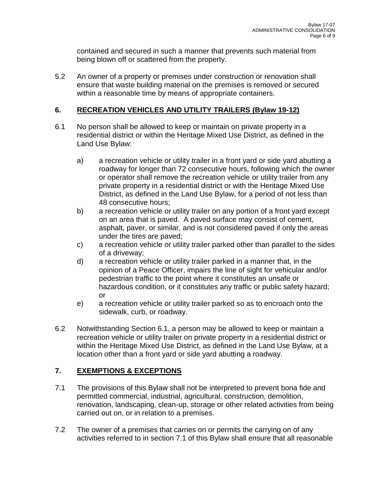contained and secured in such a manner that prevents such material from being blown off or scattered from the property.

5.2 An owner of a property or premises under construction or renovation shall ensure that waste building material on the premises is removed or secured within a reasonable time by means of appropriate containers.

### **6. RECREATION VEHICLES AND UTILITY TRAILERS (Bylaw 19-12)**

- 6.1 No person shall be allowed to keep or maintain on private property in a residential district or within the Heritage Mixed Use District, as defined in the Land Use Bylaw:
	- a) a recreation vehicle or utility trailer in a front yard or side yard abutting a roadway for longer than 72 consecutive hours, following which the owner or operator shall remove the recreation vehicle or utility trailer from any private property in a residential district or with the Heritage Mixed Use District, as defined in the Land Use Bylaw, for a period of not less than 48 consecutive hours;
	- b) a recreation vehicle or utility trailer on any portion of a front yard except on an area that is paved. A paved surface may consist of cement, asphalt, paver, or similar, and is not considered paved if only the areas under the tires are paved;
	- c) a recreation vehicle or utility trailer parked other than parallel to the sides of a driveway;
	- d) a recreation vehicle or utility trailer parked in a manner that, in the opinion of a Peace Officer, impairs the line of sight for vehicular and/or pedestrian traffic to the point where it constitutes an unsafe or hazardous condition, or it constitutes any traffic or public safety hazard; or
	- e) a recreation vehicle or utility trailer parked so as to encroach onto the sidewalk, curb, or roadway.
- 6.2 Notwithstanding Section 6.1, a person may be allowed to keep or maintain a recreation vehicle or utility trailer on private property in a residential district or within the Heritage Mixed Use District, as defined in the Land Use Bylaw, at a location other than a front yard or side yard abutting a roadway.

# **7. EXEMPTIONS & EXCEPTIONS**

- 7.1 The provisions of this Bylaw shall not be interpreted to prevent bona fide and permitted commercial, industrial, agricultural, construction, demolition, renovation, landscaping, clean-up, storage or other related activities from being carried out on, or in relation to a premises.
- 7.2 The owner of a premises that carries on or permits the carrying on of any activities referred to in section 7.1 of this Bylaw shall ensure that all reasonable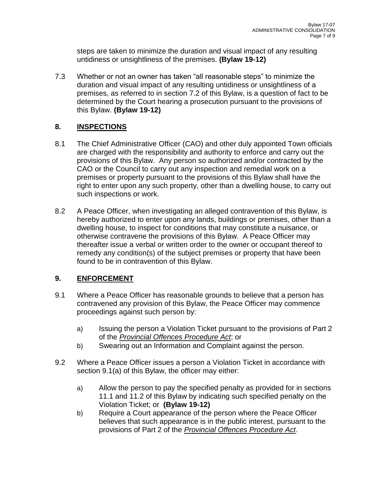steps are taken to minimize the duration and visual impact of any resulting untidiness or unsightliness of the premises. **(Bylaw 19-12)**

7.3 Whether or not an owner has taken "all reasonable steps" to minimize the duration and visual impact of any resulting untidiness or unsightliness of a premises, as referred to in section 7.2 of this Bylaw, is a question of fact to be determined by the Court hearing a prosecution pursuant to the provisions of this Bylaw. **(Bylaw 19-12)**

# **8. INSPECTIONS**

- 8.1 The Chief Administrative Officer (CAO) and other duly appointed Town officials are charged with the responsibility and authority to enforce and carry out the provisions of this Bylaw. Any person so authorized and/or contracted by the CAO or the Council to carry out any inspection and remedial work on a premises or property pursuant to the provisions of this Bylaw shall have the right to enter upon any such property, other than a dwelling house, to carry out such inspections or work.
- 8.2 A Peace Officer, when investigating an alleged contravention of this Bylaw, is hereby authorized to enter upon any lands, buildings or premises, other than a dwelling house, to inspect for conditions that may constitute a nuisance, or otherwise contravene the provisions of this Bylaw. A Peace Officer may thereafter issue a verbal or written order to the owner or occupant thereof to remedy any condition(s) of the subject premises or property that have been found to be in contravention of this Bylaw.

# **9. ENFORCEMENT**

- 9.1 Where a Peace Officer has reasonable grounds to believe that a person has contravened any provision of this Bylaw, the Peace Officer may commence proceedings against such person by:
	- a) Issuing the person a Violation Ticket pursuant to the provisions of Part 2 of the *Provincial Offences Procedure Act*; or
	- b) Swearing out an Information and Complaint against the person.
- 9.2 Where a Peace Officer issues a person a Violation Ticket in accordance with section 9.1(a) of this Bylaw, the officer may either:
	- a) Allow the person to pay the specified penalty as provided for in sections 11.1 and 11.2 of this Bylaw by indicating such specified penalty on the Violation Ticket; or **(Bylaw 19-12)**
	- b) Require a Court appearance of the person where the Peace Officer believes that such appearance is in the public interest, pursuant to the provisions of Part 2 of the *Provincial Offences Procedure Act*.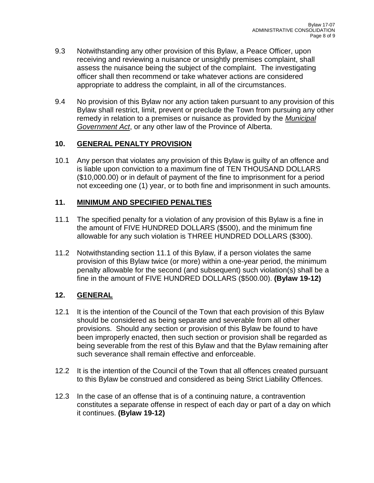- 9.3 Notwithstanding any other provision of this Bylaw, a Peace Officer, upon receiving and reviewing a nuisance or unsightly premises complaint, shall assess the nuisance being the subject of the complaint. The investigating officer shall then recommend or take whatever actions are considered appropriate to address the complaint, in all of the circumstances.
- 9.4 No provision of this Bylaw nor any action taken pursuant to any provision of this Bylaw shall restrict, limit, prevent or preclude the Town from pursuing any other remedy in relation to a premises or nuisance as provided by the *Municipal Government Act*, or any other law of the Province of Alberta.

### **10. GENERAL PENALTY PROVISION**

10.1 Any person that violates any provision of this Bylaw is guilty of an offence and is liable upon conviction to a maximum fine of TEN THOUSAND DOLLARS (\$10,000.00) or in default of payment of the fine to imprisonment for a period not exceeding one (1) year, or to both fine and imprisonment in such amounts.

### **11. MINIMUM AND SPECIFIED PENALTIES**

- 11.1 The specified penalty for a violation of any provision of this Bylaw is a fine in the amount of FIVE HUNDRED DOLLARS (\$500), and the minimum fine allowable for any such violation is THREE HUNDRED DOLLARS (\$300).
- 11.2 Notwithstanding section 11.1 of this Bylaw, if a person violates the same provision of this Bylaw twice (or more) within a one-year period, the minimum penalty allowable for the second (and subsequent) such violation(s) shall be a fine in the amount of FIVE HUNDRED DOLLARS (\$500.00). **(Bylaw 19-12)**

# **12. GENERAL**

- 12.1 It is the intention of the Council of the Town that each provision of this Bylaw should be considered as being separate and severable from all other provisions. Should any section or provision of this Bylaw be found to have been improperly enacted, then such section or provision shall be regarded as being severable from the rest of this Bylaw and that the Bylaw remaining after such severance shall remain effective and enforceable.
- 12.2 It is the intention of the Council of the Town that all offences created pursuant to this Bylaw be construed and considered as being Strict Liability Offences.
- 12.3 In the case of an offense that is of a continuing nature, a contravention constitutes a separate offense in respect of each day or part of a day on which it continues. **(Bylaw 19-12)**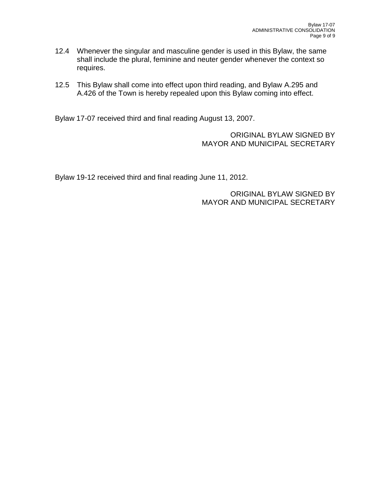- 12.4 Whenever the singular and masculine gender is used in this Bylaw, the same shall include the plural, feminine and neuter gender whenever the context so requires.
- 12.5 This Bylaw shall come into effect upon third reading, and Bylaw A.295 and A.426 of the Town is hereby repealed upon this Bylaw coming into effect.

Bylaw 17-07 received third and final reading August 13, 2007.

### ORIGINAL BYLAW SIGNED BY MAYOR AND MUNICIPAL SECRETARY

Bylaw 19-12 received third and final reading June 11, 2012.

ORIGINAL BYLAW SIGNED BY MAYOR AND MUNICIPAL SECRETARY